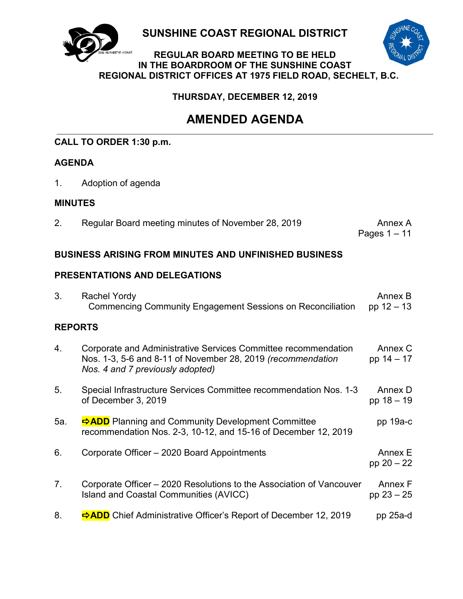

**SUNSHINE COAST REGIONAL DISTRICT**



# **REGULAR BOARD MEETING TO BE HELD IN THE BOARDROOM OF THE SUNSHINE COAST REGIONAL DISTRICT OFFICES AT 1975 FIELD ROAD, SECHELT, B.C.**

**THURSDAY, DECEMBER 12, 2019**

# **AMENDED AGENDA**

# **CALL TO ORDER 1:30 p.m.**

# **AGENDA**

1. Adoption of agenda

# **MINUTES**

2. Regular Board meeting minutes of November 28, 2019 Annex A

Pages 1 – 11

# **BUSINESS ARISING FROM MINUTES AND UNFINISHED BUSINESS**

# **PRESENTATIONS AND DELEGATIONS**

| 3.             | <b>Rachel Yordy</b><br><b>Commencing Community Engagement Sessions on Reconciliation</b>                                                                          | Annex B<br>pp $12 - 13$ |
|----------------|-------------------------------------------------------------------------------------------------------------------------------------------------------------------|-------------------------|
| <b>REPORTS</b> |                                                                                                                                                                   |                         |
| 4.             | Corporate and Administrative Services Committee recommendation<br>Nos. 1-3, 5-6 and 8-11 of November 28, 2019 (recommendation<br>Nos. 4 and 7 previously adopted) | Annex C<br>pp 14 - 17   |
| 5.             | Special Infrastructure Services Committee recommendation Nos. 1-3<br>of December 3, 2019                                                                          | Annex D<br>pp 18 - 19   |
| 5a.            | <b>⇒ADD</b> Planning and Community Development Committee<br>recommendation Nos. 2-3, 10-12, and 15-16 of December 12, 2019                                        | pp $19a-c$              |
| 6.             | Corporate Officer - 2020 Board Appointments                                                                                                                       | Annex E<br>pp $20 - 22$ |
| 7.             | Corporate Officer – 2020 Resolutions to the Association of Vancouver<br><b>Island and Coastal Communities (AVICC)</b>                                             | Annex F<br>pp $23 - 25$ |
| 8.             | <b>⇒ADD</b> Chief Administrative Officer's Report of December 12, 2019                                                                                            | $pp$ 25a-d              |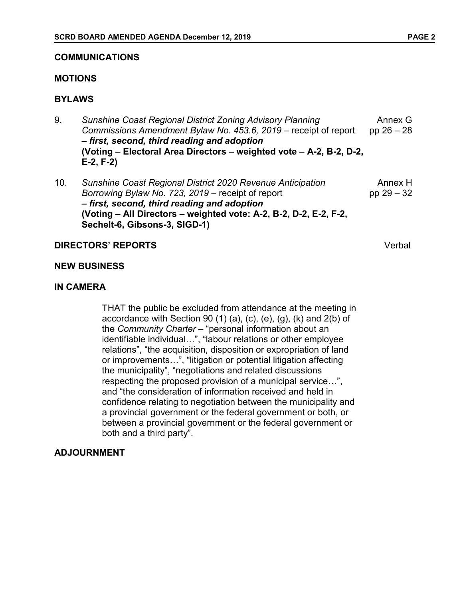#### **COMMUNICATIONS**

### **MOTIONS**

# **BYLAWS**

- 9. *Sunshine Coast Regional District Zoning Advisory Planning Commissions Amendment Bylaw No. 453.6, 2019* – receipt of report *– first, second, third reading and adoption* **(Voting – Electoral Area Directors – weighted vote – A-2, B-2, D-2, E-2, F-2)** Annex G pp 26 – 28
- 10. *Sunshine Coast Regional District 2020 Revenue Anticipation Borrowing Bylaw No. 723, 2019* – receipt of report *– first, second, third reading and adoption* **(Voting – All Directors – weighted vote: A-2, B-2, D-2, E-2, F-2, Sechelt-6, Gibsons-3, SIGD-1)** Annex H pp 29 – 32

# **DIRECTORS' REPORTS** Verbal

#### **NEW BUSINESS**

# **IN CAMERA**

THAT the public be excluded from attendance at the meeting in accordance with Section 90  $(1)$   $(a)$ ,  $(c)$ ,  $(e)$ ,  $(q)$ ,  $(k)$  and  $2(b)$  of the *Community Charter* – "personal information about an identifiable individual…", "labour relations or other employee relations", "the acquisition, disposition or expropriation of land or improvements…", "litigation or potential litigation affecting the municipality", "negotiations and related discussions respecting the proposed provision of a municipal service…", and "the consideration of information received and held in confidence relating to negotiation between the municipality and a provincial government or the federal government or both, or between a provincial government or the federal government or both and a third party".

# **ADJOURNMENT**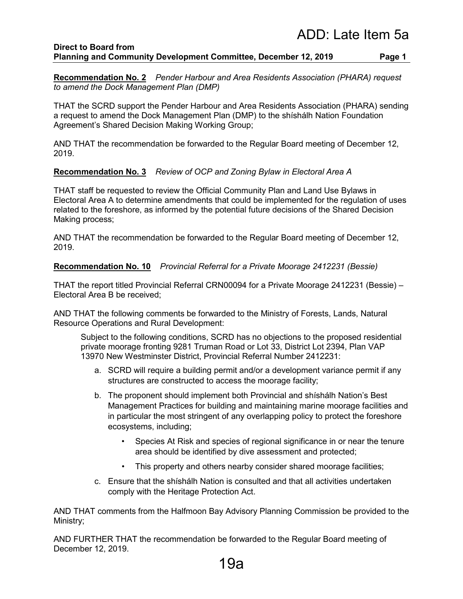#### **Direct to Board from Planning and Community Development Committee, December 12, 2019 Page 1**

**Recommendation No. 2** *Pender Harbour and Area Residents Association (PHARA) request to amend the Dock Management Plan (DMP)*

THAT the SCRD support the Pender Harbour and Area Residents Association (PHARA) sending a request to amend the Dock Management Plan (DMP) to the shíshálh Nation Foundation Agreement's Shared Decision Making Working Group;

AND THAT the recommendation be forwarded to the Regular Board meeting of December 12, 2019.

# **Recommendation No. 3** *Review of OCP and Zoning Bylaw in Electoral Area A*

THAT staff be requested to review the Official Community Plan and Land Use Bylaws in Electoral Area A to determine amendments that could be implemented for the regulation of uses related to the foreshore, as informed by the potential future decisions of the Shared Decision Making process;

AND THAT the recommendation be forwarded to the Regular Board meeting of December 12, 2019.

# **Recommendation No. 10** *Provincial Referral for a Private Moorage 2412231 (Bessie)*

THAT the report titled Provincial Referral CRN00094 for a Private Moorage 2412231 (Bessie) – Electoral Area B be received;

AND THAT the following comments be forwarded to the Ministry of Forests, Lands, Natural Resource Operations and Rural Development:

Subject to the following conditions, SCRD has no objections to the proposed residential private moorage fronting 9281 Truman Road or Lot 33, District Lot 2394, Plan VAP 13970 New Westminster District, Provincial Referral Number 2412231:

- a. SCRD will require a building permit and/or a development variance permit if any structures are constructed to access the moorage facility;
- b. The proponent should implement both Provincial and shíshálh Nation's Best Management Practices for building and maintaining marine moorage facilities and in particular the most stringent of any overlapping policy to protect the foreshore ecosystems, including;
	- Species At Risk and species of regional significance in or near the tenure area should be identified by dive assessment and protected;
	- This property and others nearby consider shared moorage facilities;
- c. Ensure that the shíshálh Nation is consulted and that all activities undertaken comply with the Heritage Protection Act.

AND THAT comments from the Halfmoon Bay Advisory Planning Commission be provided to the Ministry;

AND FURTHER THAT the recommendation be forwarded to the Regular Board meeting of December 12, 2019.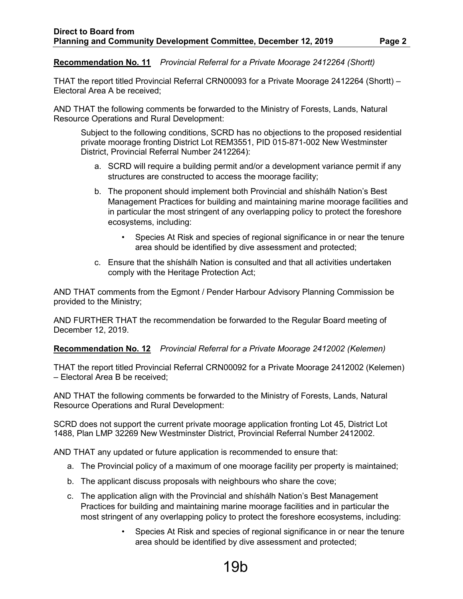**Recommendation No. 11** *Provincial Referral for a Private Moorage 2412264 (Shortt)*

THAT the report titled Provincial Referral CRN00093 for a Private Moorage 2412264 (Shortt) – Electoral Area A be received;

AND THAT the following comments be forwarded to the Ministry of Forests, Lands, Natural Resource Operations and Rural Development:

Subject to the following conditions, SCRD has no objections to the proposed residential private moorage fronting District Lot REM3551, PID 015-871-002 New Westminster District, Provincial Referral Number 2412264):

- a. SCRD will require a building permit and/or a development variance permit if any structures are constructed to access the moorage facility;
- b. The proponent should implement both Provincial and shíshálh Nation's Best Management Practices for building and maintaining marine moorage facilities and in particular the most stringent of any overlapping policy to protect the foreshore ecosystems, including:
	- Species At Risk and species of regional significance in or near the tenure area should be identified by dive assessment and protected;
- c. Ensure that the shíshálh Nation is consulted and that all activities undertaken comply with the Heritage Protection Act;

AND THAT comments from the Egmont / Pender Harbour Advisory Planning Commission be provided to the Ministry;

AND FURTHER THAT the recommendation be forwarded to the Regular Board meeting of December 12, 2019.

**Recommendation No. 12** *Provincial Referral for a Private Moorage 2412002 (Kelemen)*

THAT the report titled Provincial Referral CRN00092 for a Private Moorage 2412002 (Kelemen) – Electoral Area B be received;

AND THAT the following comments be forwarded to the Ministry of Forests, Lands, Natural Resource Operations and Rural Development:

SCRD does not support the current private moorage application fronting Lot 45, District Lot 1488, Plan LMP 32269 New Westminster District, Provincial Referral Number 2412002.

AND THAT any updated or future application is recommended to ensure that:

- a. The Provincial policy of a maximum of one moorage facility per property is maintained;
- b. The applicant discuss proposals with neighbours who share the cove;
- c. The application align with the Provincial and shíshálh Nation's Best Management Practices for building and maintaining marine moorage facilities and in particular the most stringent of any overlapping policy to protect the foreshore ecosystems, including:
	- Species At Risk and species of regional significance in or near the tenure area should be identified by dive assessment and protected;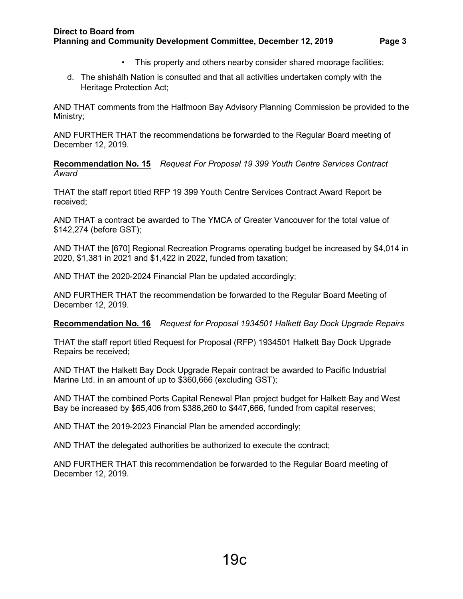- This property and others nearby consider shared moorage facilities;
- d. The shíshálh Nation is consulted and that all activities undertaken comply with the Heritage Protection Act;

AND THAT comments from the Halfmoon Bay Advisory Planning Commission be provided to the Ministry;

AND FURTHER THAT the recommendations be forwarded to the Regular Board meeting of December 12, 2019.

**Recommendation No. 15** *Request For Proposal 19 399 Youth Centre Services Contract Award*

THAT the staff report titled RFP 19 399 Youth Centre Services Contract Award Report be received;

AND THAT a contract be awarded to The YMCA of Greater Vancouver for the total value of \$142,274 (before GST);

AND THAT the [670] Regional Recreation Programs operating budget be increased by \$4,014 in 2020, \$1,381 in 2021 and \$1,422 in 2022, funded from taxation;

AND THAT the 2020-2024 Financial Plan be updated accordingly;

AND FURTHER THAT the recommendation be forwarded to the Regular Board Meeting of December 12, 2019.

**Recommendation No. 16** *Request for Proposal 1934501 Halkett Bay Dock Upgrade Repairs*

THAT the staff report titled Request for Proposal (RFP) 1934501 Halkett Bay Dock Upgrade Repairs be received;

AND THAT the Halkett Bay Dock Upgrade Repair contract be awarded to Pacific Industrial Marine Ltd. in an amount of up to \$360,666 (excluding GST);

AND THAT the combined Ports Capital Renewal Plan project budget for Halkett Bay and West Bay be increased by \$65,406 from \$386,260 to \$447,666, funded from capital reserves;

AND THAT the 2019-2023 Financial Plan be amended accordingly;

AND THAT the delegated authorities be authorized to execute the contract;

AND FURTHER THAT this recommendation be forwarded to the Regular Board meeting of December 12, 2019.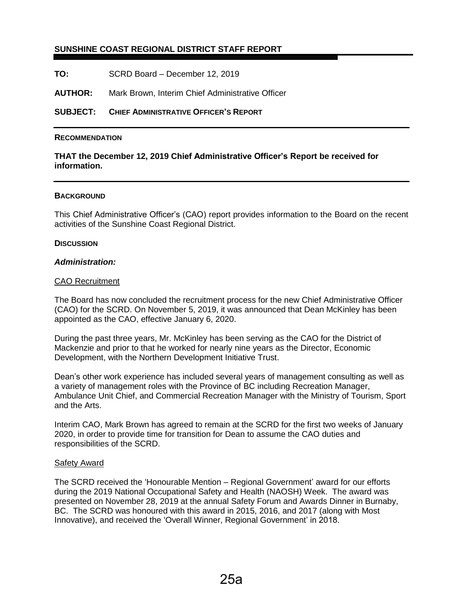# **SUNSHINE COAST REGIONAL DISTRICT STAFF REPORT**

**TO:** SCRD Board – December 12, 2019

**AUTHOR:** Mark Brown, Interim Chief Administrative Officer

**SUBJECT: CHIEF ADMINISTRATIVE OFFICER'S REPORT**

#### **RECOMMENDATION**

### **THAT the December 12, 2019 Chief Administrative Officer's Report be received for information.**

#### **BACKGROUND**

This Chief Administrative Officer's (CAO) report provides information to the Board on the recent activities of the Sunshine Coast Regional District.

#### **DISCUSSION**

#### *Administration:*

#### CAO Recruitment

The Board has now concluded the recruitment process for the new Chief Administrative Officer (CAO) for the SCRD. On November 5, 2019, it was announced that Dean McKinley has been appointed as the CAO, effective January 6, 2020.

During the past three years, Mr. McKinley has been serving as the CAO for the District of Mackenzie and prior to that he worked for nearly nine years as the Director, Economic Development, with the Northern Development Initiative Trust.

Dean's other work experience has included several years of management consulting as well as a variety of management roles with the Province of BC including Recreation Manager, Ambulance Unit Chief, and Commercial Recreation Manager with the Ministry of Tourism, Sport and the Arts.

Interim CAO, Mark Brown has agreed to remain at the SCRD for the first two weeks of January 2020, in order to provide time for transition for Dean to assume the CAO duties and responsibilities of the SCRD.

#### Safety Award

The SCRD received the 'Honourable Mention – Regional Government' award for our efforts during the 2019 National Occupational Safety and Health (NAOSH) Week. The award was presented on November 28, 2019 at the annual Safety Forum and Awards Dinner in Burnaby, BC. The SCRD was honoured with this award in 2015, 2016, and 2017 (along with Most Innovative), and received the 'Overall Winner, Regional Government' in 2018.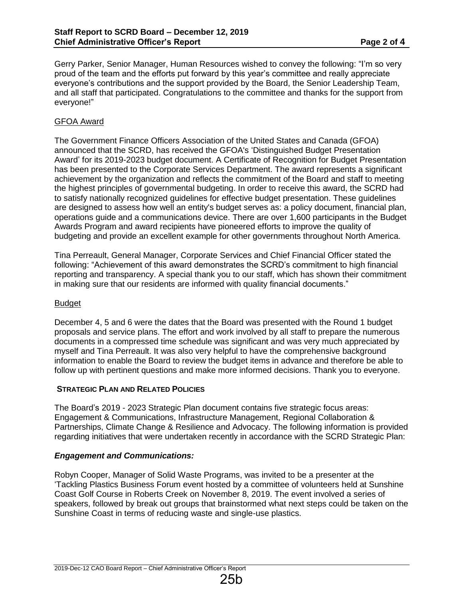Gerry Parker, Senior Manager, Human Resources wished to convey the following: "I'm so very proud of the team and the efforts put forward by this year's committee and really appreciate everyone's contributions and the support provided by the Board, the Senior Leadership Team, and all staff that participated. Congratulations to the committee and thanks for the support from everyone!"

# GFOA Award

The Government Finance Officers Association of the United States and Canada (GFOA) announced that the SCRD, has received the GFOA's 'Distinguished Budget Presentation Award' for its 2019-2023 budget document. A Certificate of Recognition for Budget Presentation has been presented to the Corporate Services Department. The award represents a significant achievement by the organization and reflects the commitment of the Board and staff to meeting the highest principles of governmental budgeting. In order to receive this award, the SCRD had to satisfy nationally recognized guidelines for effective budget presentation. These guidelines are designed to assess how well an entity's budget serves as: a policy document, financial plan, operations guide and a communications device. There are over 1,600 participants in the Budget Awards Program and award recipients have pioneered efforts to improve the quality of budgeting and provide an excellent example for other governments throughout North America.

Tina Perreault, General Manager, Corporate Services and Chief Financial Officer stated the following: "Achievement of this award demonstrates the SCRD's commitment to high financial reporting and transparency. A special thank you to our staff, which has shown their commitment in making sure that our residents are informed with quality financial documents."

# Budget

December 4, 5 and 6 were the dates that the Board was presented with the Round 1 budget proposals and service plans. The effort and work involved by all staff to prepare the numerous documents in a compressed time schedule was significant and was very much appreciated by myself and Tina Perreault. It was also very helpful to have the comprehensive background information to enable the Board to review the budget items in advance and therefore be able to follow up with pertinent questions and make more informed decisions. Thank you to everyone.

# **STRATEGIC PLAN AND RELATED POLICIES**

The Board's 2019 - 2023 Strategic Plan document contains five strategic focus areas: Engagement & Communications, Infrastructure Management, Regional Collaboration & Partnerships, Climate Change & Resilience and Advocacy. The following information is provided regarding initiatives that were undertaken recently in accordance with the SCRD Strategic Plan:

# *Engagement and Communications:*

Robyn Cooper, Manager of Solid Waste Programs, was invited to be a presenter at the 'Tackling Plastics Business Forum event hosted by a committee of volunteers held at Sunshine Coast Golf Course in Roberts Creek on November 8, 2019. The event involved a series of speakers, followed by break out groups that brainstormed what next steps could be taken on the Sunshine Coast in terms of reducing waste and single-use plastics.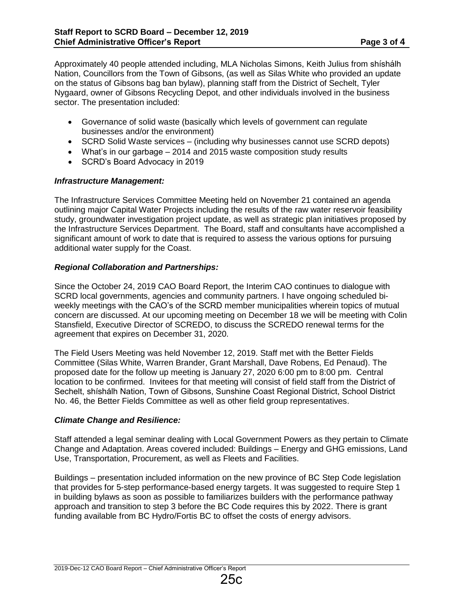Approximately 40 people attended including, MLA Nicholas Simons, Keith Julius from shíshálh Nation, Councillors from the Town of Gibsons, (as well as Silas White who provided an update on the status of Gibsons bag ban bylaw), planning staff from the District of Sechelt, Tyler Nygaard, owner of Gibsons Recycling Depot, and other individuals involved in the business sector. The presentation included:

- Governance of solid waste (basically which levels of government can regulate businesses and/or the environment)
- SCRD Solid Waste services (including why businesses cannot use SCRD depots)
- What's in our garbage 2014 and 2015 waste composition study results
- SCRD's Board Advocacy in 2019

# *Infrastructure Management:*

The Infrastructure Services Committee Meeting held on November 21 contained an agenda outlining major Capital Water Projects including the results of the raw water reservoir feasibility study, groundwater investigation project update, as well as strategic plan initiatives proposed by the Infrastructure Services Department. The Board, staff and consultants have accomplished a significant amount of work to date that is required to assess the various options for pursuing additional water supply for the Coast.

# *Regional Collaboration and Partnerships:*

Since the October 24, 2019 CAO Board Report, the Interim CAO continues to dialogue with SCRD local governments, agencies and community partners. I have ongoing scheduled biweekly meetings with the CAO's of the SCRD member municipalities wherein topics of mutual concern are discussed. At our upcoming meeting on December 18 we will be meeting with Colin Stansfield, Executive Director of SCREDO, to discuss the SCREDO renewal terms for the agreement that expires on December 31, 2020.

The Field Users Meeting was held November 12, 2019. Staff met with the Better Fields Committee (Silas White, Warren Brander, Grant Marshall, Dave Robens, Ed Penaud). The proposed date for the follow up meeting is January 27, 2020 6:00 pm to 8:00 pm. Central location to be confirmed. Invitees for that meeting will consist of field staff from the District of Sechelt, shíshálh Nation, Town of Gibsons, Sunshine Coast Regional District, School District No. 46, the Better Fields Committee as well as other field group representatives.

# *Climate Change and Resilience:*

Staff attended a legal seminar dealing with Local Government Powers as they pertain to Climate Change and Adaptation. Areas covered included: Buildings – Energy and GHG emissions, Land Use, Transportation, Procurement, as well as Fleets and Facilities.

Buildings – presentation included information on the new province of BC Step Code legislation that provides for 5-step performance-based energy targets. It was suggested to require Step 1 in building bylaws as soon as possible to familiarizes builders with the performance pathway approach and transition to step 3 before the BC Code requires this by 2022. There is grant funding available from BC Hydro/Fortis BC to offset the costs of energy advisors.